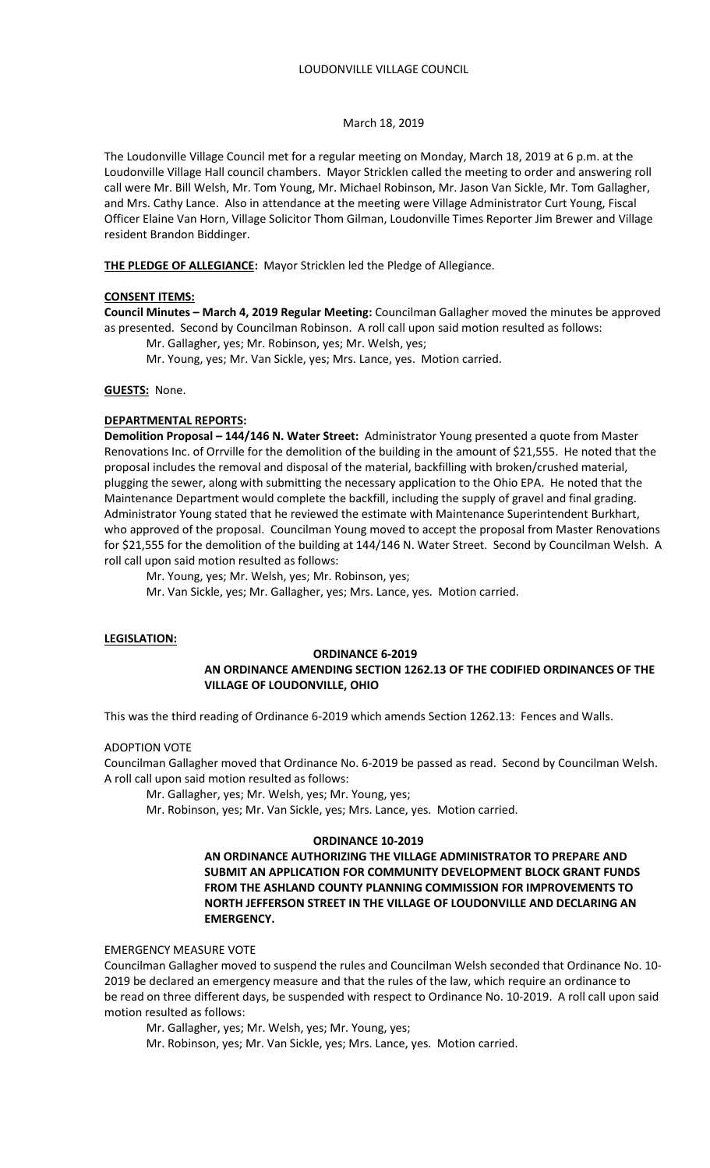#### March 18, 2019

The Loudonville Village Council met for a regular meeting on Monday, March 18, 2019 at 6 p.m. at the Loudonville Village Hall council chambers. Mayor Stricklen called the meeting to order and answering roll call were Mr. Bill Welsh, Mr. Tom Young, Mr. Michael Robinson, Mr. Jason Van Sickle, Mr. Tom Gallagher, and Mrs. Cathy Lance. Also in attendance at the meeting were Village Administrator Curt Young, Fiscal Officer Elaine Van Horn, Village Solicitor Thom Gilman, Loudonville Times Reporter Jim Brewer and Village resident Brandon Biddinger.

**THE PLEDGE OF ALLEGIANCE:** Mayor Stricklen led the Pledge of Allegiance.

### **CONSENT ITEMS:**

**Council Minutes – March 4, 2019 Regular Meeting:** Councilman Gallagher moved the minutes be approved as presented. Second by Councilman Robinson. A roll call upon said motion resulted as follows:

Mr. Gallagher, yes; Mr. Robinson, yes; Mr. Welsh, yes;

Mr. Young, yes; Mr. Van Sickle, yes; Mrs. Lance, yes. Motion carried.

#### **GUESTS:** None.

#### **DEPARTMENTAL REPORTS:**

**Demolition Proposal – 144/146 N. Water Street:** Administrator Young presented a quote from Master Renovations Inc. of Orrville for the demolition of the building in the amount of \$21,555. He noted that the proposal includes the removal and disposal of the material, backfilling with broken/crushed material, plugging the sewer, along with submitting the necessary application to the Ohio EPA. He noted that the Maintenance Department would complete the backfill, including the supply of gravel and final grading. Administrator Young stated that he reviewed the estimate with Maintenance Superintendent Burkhart, who approved of the proposal. Councilman Young moved to accept the proposal from Master Renovations for \$21,555 for the demolition of the building at 144/146 N. Water Street. Second by Councilman Welsh. A roll call upon said motion resulted as follows:

Mr. Young, yes; Mr. Welsh, yes; Mr. Robinson, yes;

Mr. Van Sickle, yes; Mr. Gallagher, yes; Mrs. Lance, yes. Motion carried.

#### **LEGISLATION:**

### **ORDINANCE 6-2019**

## **AN ORDINANCE AMENDING SECTION 1262.13 OF THE CODIFIED ORDINANCES OF THE VILLAGE OF LOUDONVILLE, OHIO**

This was the third reading of Ordinance 6-2019 which amends Section 1262.13: Fences and Walls.

### ADOPTION VOTE

Councilman Gallagher moved that Ordinance No. 6-2019 be passed as read. Second by Councilman Welsh. A roll call upon said motion resulted as follows:

Mr. Gallagher, yes; Mr. Welsh, yes; Mr. Young, yes;

Mr. Robinson, yes; Mr. Van Sickle, yes; Mrs. Lance, yes. Motion carried.

#### **ORDINANCE 10-2019**

**AN ORDINANCE AUTHORIZING THE VILLAGE ADMINISTRATOR TO PREPARE AND SUBMIT AN APPLICATION FOR COMMUNITY DEVELOPMENT BLOCK GRANT FUNDS FROM THE ASHLAND COUNTY PLANNING COMMISSION FOR IMPROVEMENTS TO NORTH JEFFERSON STREET IN THE VILLAGE OF LOUDONVILLE AND DECLARING AN EMERGENCY.**

### EMERGENCY MEASURE VOTE

Councilman Gallagher moved to suspend the rules and Councilman Welsh seconded that Ordinance No. 10- 2019 be declared an emergency measure and that the rules of the law, which require an ordinance to be read on three different days, be suspended with respect to Ordinance No. 10-2019. A roll call upon said motion resulted as follows:

Mr. Gallagher, yes; Mr. Welsh, yes; Mr. Young, yes;

Mr. Robinson, yes; Mr. Van Sickle, yes; Mrs. Lance, yes. Motion carried.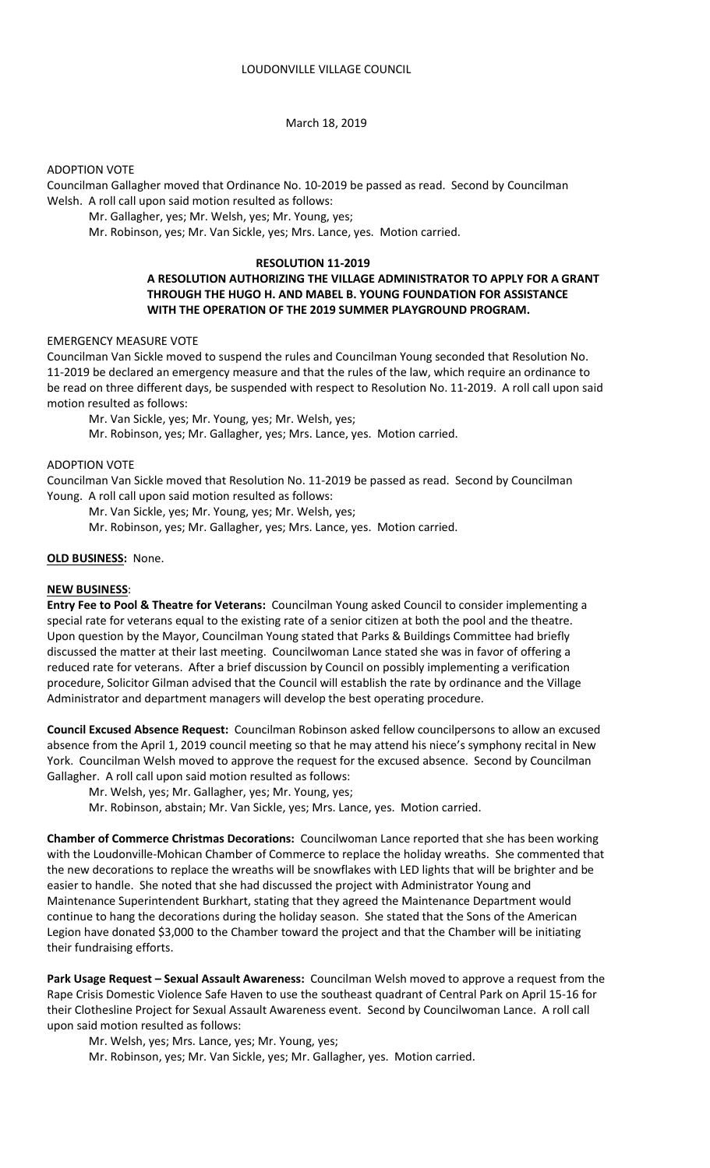## March 18, 2019

## ADOPTION VOTE

Councilman Gallagher moved that Ordinance No. 10-2019 be passed as read. Second by Councilman Welsh. A roll call upon said motion resulted as follows:

Mr. Gallagher, yes; Mr. Welsh, yes; Mr. Young, yes;

Mr. Robinson, yes; Mr. Van Sickle, yes; Mrs. Lance, yes. Motion carried.

### **RESOLUTION 11-2019**

# **A RESOLUTION AUTHORIZING THE VILLAGE ADMINISTRATOR TO APPLY FOR A GRANT THROUGH THE HUGO H. AND MABEL B. YOUNG FOUNDATION FOR ASSISTANCE WITH THE OPERATION OF THE 2019 SUMMER PLAYGROUND PROGRAM.**

## EMERGENCY MEASURE VOTE

Councilman Van Sickle moved to suspend the rules and Councilman Young seconded that Resolution No. 11-2019 be declared an emergency measure and that the rules of the law, which require an ordinance to be read on three different days, be suspended with respect to Resolution No. 11-2019. A roll call upon said motion resulted as follows:

Mr. Van Sickle, yes; Mr. Young, yes; Mr. Welsh, yes;

Mr. Robinson, yes; Mr. Gallagher, yes; Mrs. Lance, yes. Motion carried.

# ADOPTION VOTE

Councilman Van Sickle moved that Resolution No. 11-2019 be passed as read. Second by Councilman Young. A roll call upon said motion resulted as follows:

Mr. Van Sickle, yes; Mr. Young, yes; Mr. Welsh, yes;

Mr. Robinson, yes; Mr. Gallagher, yes; Mrs. Lance, yes. Motion carried.

## **OLD BUSINESS:** None.

# **NEW BUSINESS**:

**Entry Fee to Pool & Theatre for Veterans:** Councilman Young asked Council to consider implementing a special rate for veterans equal to the existing rate of a senior citizen at both the pool and the theatre. Upon question by the Mayor, Councilman Young stated that Parks & Buildings Committee had briefly discussed the matter at their last meeting. Councilwoman Lance stated she was in favor of offering a reduced rate for veterans. After a brief discussion by Council on possibly implementing a verification procedure, Solicitor Gilman advised that the Council will establish the rate by ordinance and the Village Administrator and department managers will develop the best operating procedure.

**Council Excused Absence Request:** Councilman Robinson asked fellow councilpersons to allow an excused absence from the April 1, 2019 council meeting so that he may attend his niece's symphony recital in New York. Councilman Welsh moved to approve the request for the excused absence. Second by Councilman Gallagher. A roll call upon said motion resulted as follows:

- Mr. Welsh, yes; Mr. Gallagher, yes; Mr. Young, yes;
- Mr. Robinson, abstain; Mr. Van Sickle, yes; Mrs. Lance, yes. Motion carried.

**Chamber of Commerce Christmas Decorations:** Councilwoman Lance reported that she has been working with the Loudonville-Mohican Chamber of Commerce to replace the holiday wreaths. She commented that the new decorations to replace the wreaths will be snowflakes with LED lights that will be brighter and be easier to handle. She noted that she had discussed the project with Administrator Young and Maintenance Superintendent Burkhart, stating that they agreed the Maintenance Department would continue to hang the decorations during the holiday season. She stated that the Sons of the American Legion have donated \$3,000 to the Chamber toward the project and that the Chamber will be initiating their fundraising efforts.

**Park Usage Request – Sexual Assault Awareness:** Councilman Welsh moved to approve a request from the Rape Crisis Domestic Violence Safe Haven to use the southeast quadrant of Central Park on April 15-16 for their Clothesline Project for Sexual Assault Awareness event. Second by Councilwoman Lance. A roll call upon said motion resulted as follows:

Mr. Welsh, yes; Mrs. Lance, yes; Mr. Young, yes;

Mr. Robinson, yes; Mr. Van Sickle, yes; Mr. Gallagher, yes. Motion carried.